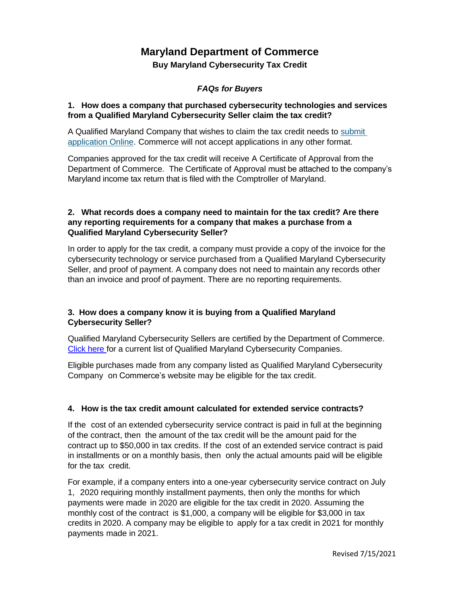# **Maryland Department of Commerce**

**Buy Maryland Cybersecurity Tax Credit**

# *FAQs for Buyers*

#### **1. How does a company that purchased cybersecurity technologies and services from a Qualified Maryland Cybersecurity Seller claim the tax credit?**

A Qualified Maryland Company that wishes to claim the tax credit needs to submit [application Online.](https://programs.commerce.maryland.gov/buycyberwelcome) Commerce will not accept applications in any other format.

Companies approved for the tax credit will receive A Certificate of Approval from the Department of Commerce. The Certificate of Approval must be attached to the company's Maryland income tax return that is filed with the Comptroller of Maryland.

#### **2. What records does a company need to maintain for the tax credit? Are there any reporting requirements for a company that makes a purchase from a Qualified Maryland Cybersecurity Seller?**

In order to apply for the tax credit, a company must provide a copy of the invoice for the cybersecurity technology or service purchased from a Qualified Maryland Cybersecurity Seller, and proof of payment. A company does not need to maintain any records other than an invoice and proof of payment. There are no reporting requirements.

## **3. How does a company know it is buying from a Qualified Maryland Cybersecurity Seller?**

Qualified Maryland Cybersecurity Sellers are certified by the Department of Commerce. [Click here](https://docs.google.com/spreadsheets/d/1CC2S1QhkqHVEtWkhRtKk1-RhpJCx_sfYdYKGLmIPNMo/edit?usp=sharing) for a current list of Qualified Maryland Cybersecurity Companies.

Eligible purchases made from any company listed as Qualified Maryland Cybersecurity Company on Commerce's website may be eligible for the tax credit.

## **4. How is the tax credit amount calculated for extended service contracts?**

If the cost of an extended cybersecurity service contract is paid in full at the beginning of the contract, then the amount of the tax credit will be the amount paid for the contract up to \$50,000 in tax credits. If the cost of an extended service contract is paid in installments or on a monthly basis, then only the actual amounts paid will be eligible for the tax credit.

For example, if a company enters into a one-year cybersecurity service contract on July 1, 2020 requiring monthly installment payments, then only the months for which payments were made in 2020 are eligible for the tax credit in 2020. Assuming the monthly cost of the contract is \$1,000, a company will be eligible for \$3,000 in tax credits in 2020. A company may be eligible to apply for a tax credit in 2021 for monthly payments made in 2021.